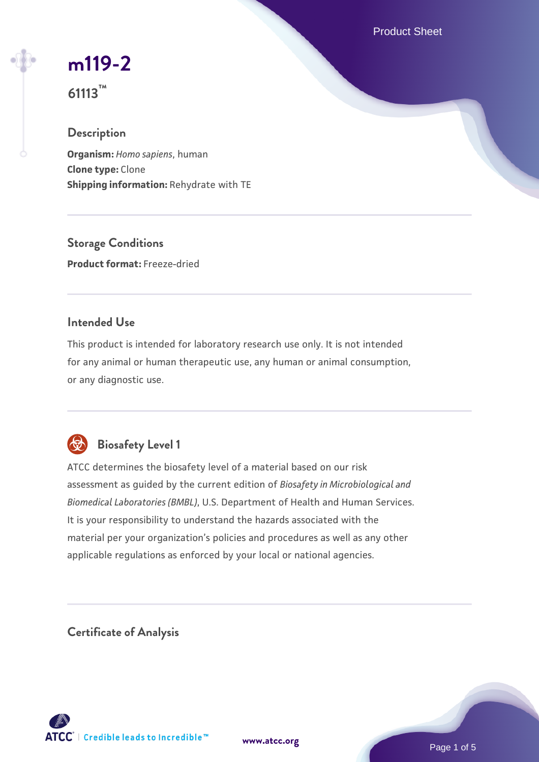Product Sheet

## **[m119-2](https://www.atcc.org/products/61113)**

**61113™**

#### **Description**

**Organism:** *Homo sapiens*, human **Clone type:** Clone **Shipping information:** Rehydrate with TE

**Storage Conditions Product format:** Freeze-dried

#### **Intended Use**

This product is intended for laboratory research use only. It is not intended for any animal or human therapeutic use, any human or animal consumption, or any diagnostic use.



### **Biosafety Level 1**

ATCC determines the biosafety level of a material based on our risk assessment as guided by the current edition of *Biosafety in Microbiological and Biomedical Laboratories (BMBL)*, U.S. Department of Health and Human Services. It is your responsibility to understand the hazards associated with the material per your organization's policies and procedures as well as any other applicable regulations as enforced by your local or national agencies.

**Certificate of Analysis**

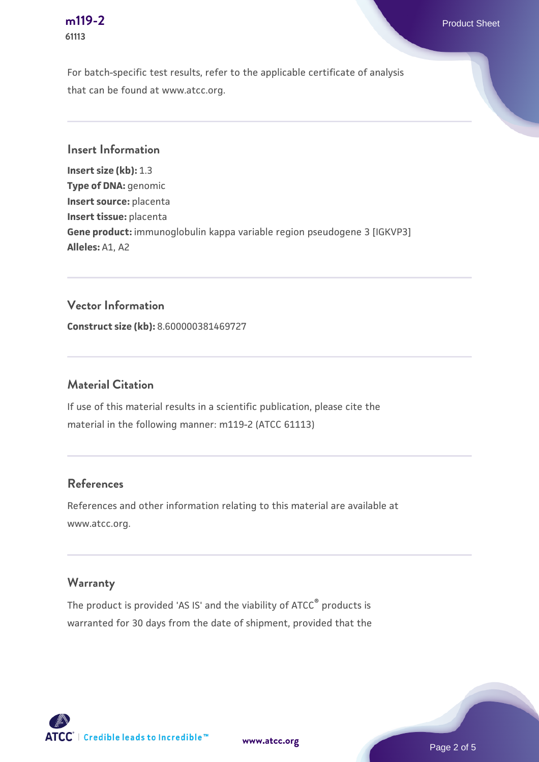# **61113**

For batch-specific test results, refer to the applicable certificate of analysis that can be found at www.atcc.org.

**Insert Information**

**Insert size (kb):** 1.3 **Type of DNA:** genomic **Insert source:** placenta **Insert tissue:** placenta **Gene product:** immunoglobulin kappa variable region pseudogene 3 [IGKVP3] **Alleles:** A1, A2

#### **Vector Information**

**Construct size (kb):** 8.600000381469727

#### **Material Citation**

If use of this material results in a scientific publication, please cite the material in the following manner: m119-2 (ATCC 61113)

#### **References**

References and other information relating to this material are available at www.atcc.org.

#### **Warranty**

The product is provided 'AS IS' and the viability of ATCC® products is warranted for 30 days from the date of shipment, provided that the



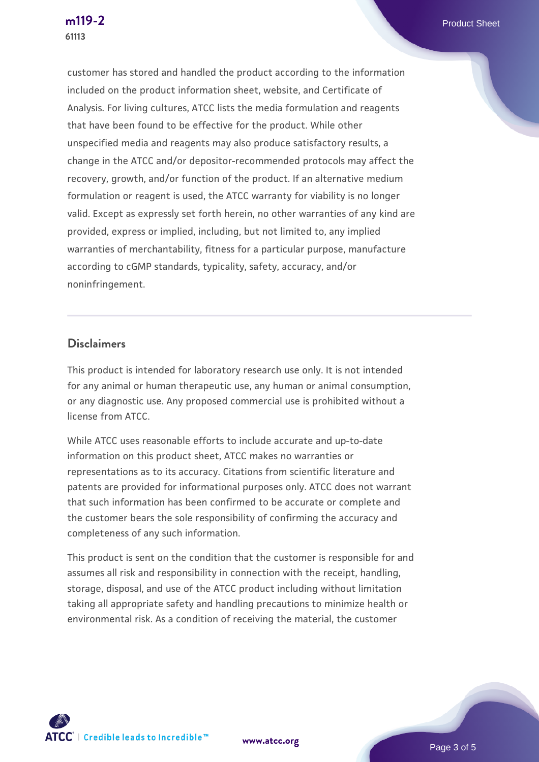customer has stored and handled the product according to the information included on the product information sheet, website, and Certificate of Analysis. For living cultures, ATCC lists the media formulation and reagents that have been found to be effective for the product. While other unspecified media and reagents may also produce satisfactory results, a change in the ATCC and/or depositor-recommended protocols may affect the recovery, growth, and/or function of the product. If an alternative medium formulation or reagent is used, the ATCC warranty for viability is no longer valid. Except as expressly set forth herein, no other warranties of any kind are provided, express or implied, including, but not limited to, any implied warranties of merchantability, fitness for a particular purpose, manufacture according to cGMP standards, typicality, safety, accuracy, and/or noninfringement.

#### **Disclaimers**

This product is intended for laboratory research use only. It is not intended for any animal or human therapeutic use, any human or animal consumption, or any diagnostic use. Any proposed commercial use is prohibited without a license from ATCC.

While ATCC uses reasonable efforts to include accurate and up-to-date information on this product sheet, ATCC makes no warranties or representations as to its accuracy. Citations from scientific literature and patents are provided for informational purposes only. ATCC does not warrant that such information has been confirmed to be accurate or complete and the customer bears the sole responsibility of confirming the accuracy and completeness of any such information.

This product is sent on the condition that the customer is responsible for and assumes all risk and responsibility in connection with the receipt, handling, storage, disposal, and use of the ATCC product including without limitation taking all appropriate safety and handling precautions to minimize health or environmental risk. As a condition of receiving the material, the customer



**[m119-2](https://www.atcc.org/products/61113)** Product Sheet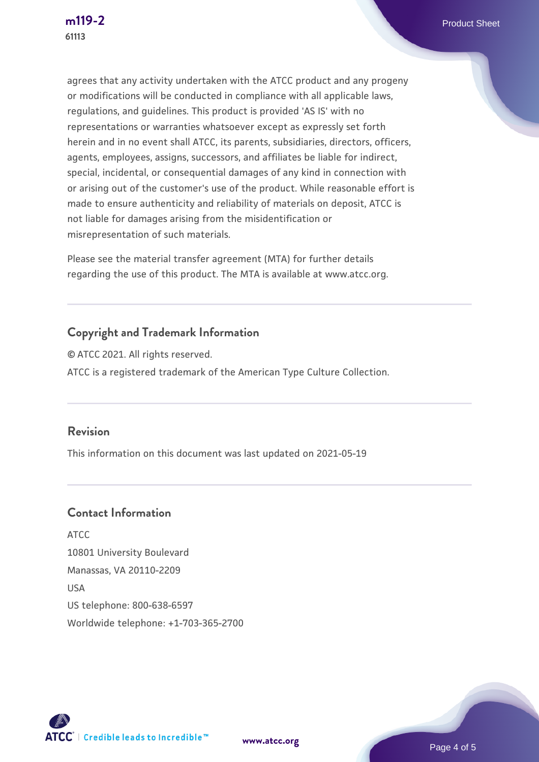agrees that any activity undertaken with the ATCC product and any progeny or modifications will be conducted in compliance with all applicable laws, regulations, and guidelines. This product is provided 'AS IS' with no representations or warranties whatsoever except as expressly set forth herein and in no event shall ATCC, its parents, subsidiaries, directors, officers, agents, employees, assigns, successors, and affiliates be liable for indirect, special, incidental, or consequential damages of any kind in connection with or arising out of the customer's use of the product. While reasonable effort is made to ensure authenticity and reliability of materials on deposit, ATCC is not liable for damages arising from the misidentification or misrepresentation of such materials.

Please see the material transfer agreement (MTA) for further details regarding the use of this product. The MTA is available at www.atcc.org.

#### **Copyright and Trademark Information**

© ATCC 2021. All rights reserved. ATCC is a registered trademark of the American Type Culture Collection.

#### **Revision**

This information on this document was last updated on 2021-05-19

#### **Contact Information**

ATCC 10801 University Boulevard Manassas, VA 20110-2209 USA US telephone: 800-638-6597 Worldwide telephone: +1-703-365-2700